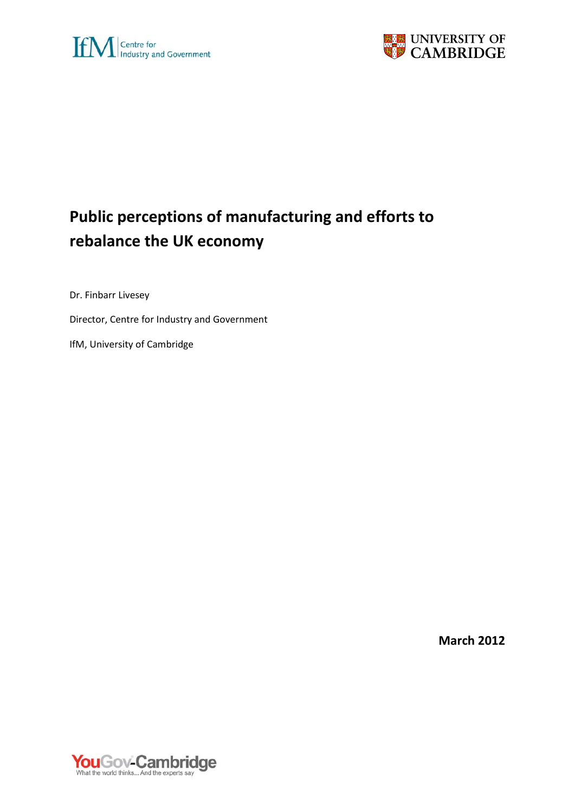



# **Public perceptions of manufacturing and efforts to rebalance the UK economy**

Dr. Finbarr Livesey

Director, Centre for Industry and Government

IfM, University of Cambridge

**March 2012** 

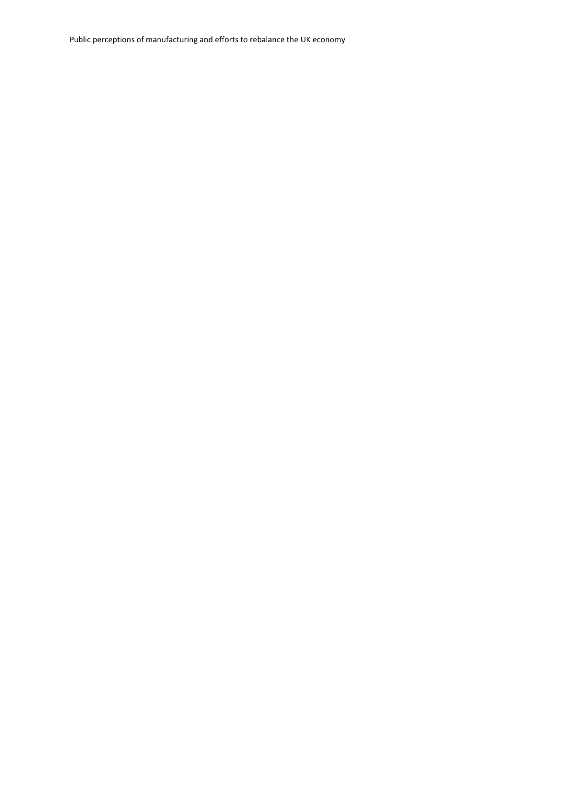Public perceptions of manufacturing and efforts to rebalance the UK economy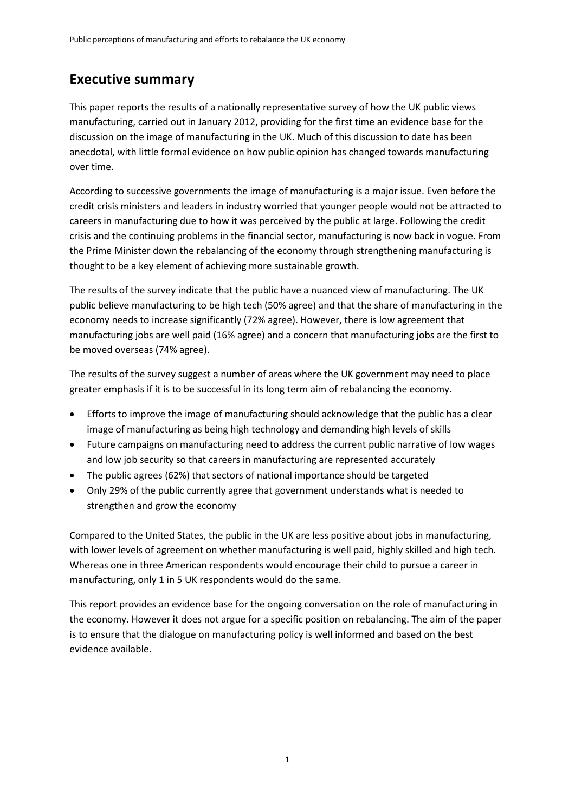# **Executive summary**

This paper reports the results of a nationally representative survey of how the UK public views manufacturing, carried out in January 2012, providing for the first time an evidence base for the discussion on the image of manufacturing in the UK. Much of this discussion to date has been anecdotal, with little formal evidence on how public opinion has changed towards manufacturing over time.

According to successive governments the image of manufacturing is a major issue. Even before the credit crisis ministers and leaders in industry worried that younger people would not be attracted to careers in manufacturing due to how it was perceived by the public at large. Following the credit crisis and the continuing problems in the financial sector, manufacturing is now back in vogue. From the Prime Minister down the rebalancing of the economy through strengthening manufacturing is thought to be a key element of achieving more sustainable growth.

The results of the survey indicate that the public have a nuanced view of manufacturing. The UK public believe manufacturing to be high tech (50% agree) and that the share of manufacturing in the economy needs to increase significantly (72% agree). However, there is low agreement that manufacturing jobs are well paid (16% agree) and a concern that manufacturing jobs are the first to be moved overseas (74% agree).

The results of the survey suggest a number of areas where the UK government may need to place greater emphasis if it is to be successful in its long term aim of rebalancing the economy.

- Efforts to improve the image of manufacturing should acknowledge that the public has a clear image of manufacturing as being high technology and demanding high levels of skills
- Future campaigns on manufacturing need to address the current public narrative of low wages and low job security so that careers in manufacturing are represented accurately
- The public agrees (62%) that sectors of national importance should be targeted
- Only 29% of the public currently agree that government understands what is needed to strengthen and grow the economy

Compared to the United States, the public in the UK are less positive about jobs in manufacturing, with lower levels of agreement on whether manufacturing is well paid, highly skilled and high tech. Whereas one in three American respondents would encourage their child to pursue a career in manufacturing, only 1 in 5 UK respondents would do the same.

This report provides an evidence base for the ongoing conversation on the role of manufacturing in the economy. However it does not argue for a specific position on rebalancing. The aim of the paper is to ensure that the dialogue on manufacturing policy is well informed and based on the best evidence available.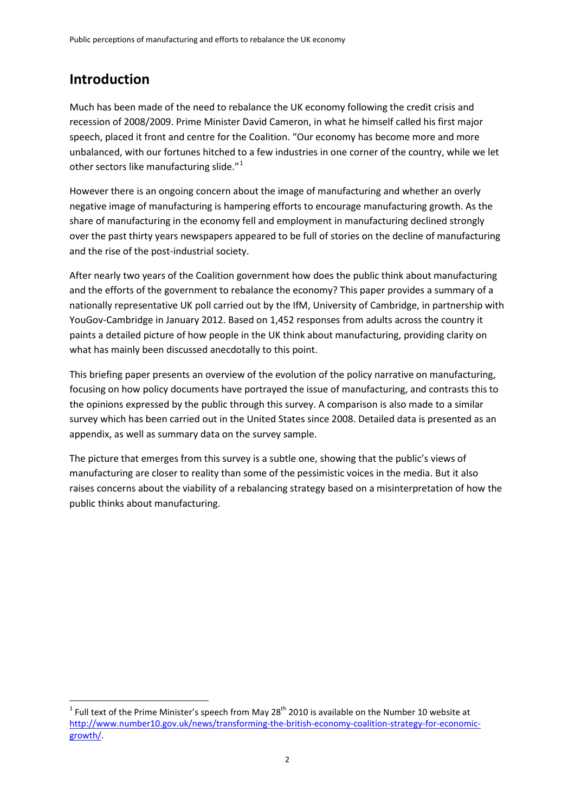## **Introduction**

Much has been made of the need to rebalance the UK economy following the credit crisis and recession of 2008/2009. Prime Minister David Cameron, in what he himself called his first major speech, placed it front and centre for the Coalition. "Our economy has become more and more unbalanced, with our fortunes hitched to a few industries in one corner of the country, while we let other sectors like manufacturing slide."[1](#page-3-0)

However there is an ongoing concern about the image of manufacturing and whether an overly negative image of manufacturing is hampering efforts to encourage manufacturing growth. As the share of manufacturing in the economy fell and employment in manufacturing declined strongly over the past thirty years newspapers appeared to be full of stories on the decline of manufacturing and the rise of the post-industrial society.

After nearly two years of the Coalition government how does the public think about manufacturing and the efforts of the government to rebalance the economy? This paper provides a summary of a nationally representative UK poll carried out by the IfM, University of Cambridge, in partnership with YouGov-Cambridge in January 2012. Based on 1,452 responses from adults across the country it paints a detailed picture of how people in the UK think about manufacturing, providing clarity on what has mainly been discussed anecdotally to this point.

This briefing paper presents an overview of the evolution of the policy narrative on manufacturing, focusing on how policy documents have portrayed the issue of manufacturing, and contrasts this to the opinions expressed by the public through this survey. A comparison is also made to a similar survey which has been carried out in the United States since 2008. Detailed data is presented as an appendix, as well as summary data on the survey sample.

The picture that emerges from this survey is a subtle one, showing that the public's views of manufacturing are closer to reality than some of the pessimistic voices in the media. But it also raises concerns about the viability of a rebalancing strategy based on a misinterpretation of how the public thinks about manufacturing.

<span id="page-3-0"></span> $1$  Full text of the Prime Minister's speech from May 28<sup>th</sup> 2010 is available on the Number 10 website at [http://www.number10.gov.uk/news/transforming-the-british-economy-coalition-strategy-for-economic](http://www.number10.gov.uk/news/transforming-the-british-economy-coalition-strategy-for-economic-growth/)[growth/.](http://www.number10.gov.uk/news/transforming-the-british-economy-coalition-strategy-for-economic-growth/)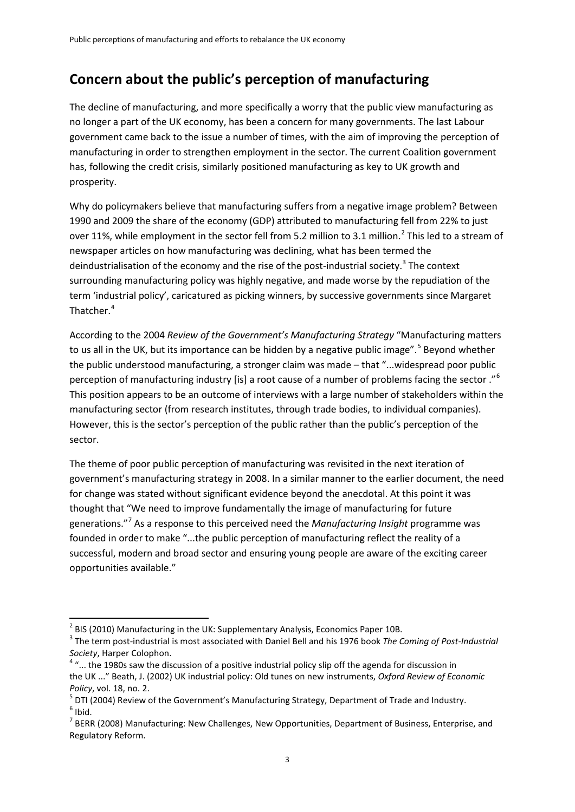# **Concern about the public's perception of manufacturing**

The decline of manufacturing, and more specifically a worry that the public view manufacturing as no longer a part of the UK economy, has been a concern for many governments. The last Labour government came back to the issue a number of times, with the aim of improving the perception of manufacturing in order to strengthen employment in the sector. The current Coalition government has, following the credit crisis, similarly positioned manufacturing as key to UK growth and prosperity.

Why do policymakers believe that manufacturing suffers from a negative image problem? Between 1990 and 2009 the share of the economy (GDP) attributed to manufacturing fell from 22% to just over 11%, while employment in the sector fell from 5.[2](#page-4-0) million to 3.1 million.<sup>2</sup> This led to a stream of newspaper articles on how manufacturing was declining, what has been termed the deindustrialisation of the economy and the rise of the post-industrial society.<sup>[3](#page-4-1)</sup> The context surrounding manufacturing policy was highly negative, and made worse by the repudiation of the term 'industrial policy', caricatured as picking winners, by successive governments since Margaret Thatcher.<sup>[4](#page-4-2)</sup>

According to the 2004 *Review of the Government's Manufacturing Strategy* "Manufacturing matters to us all in the UK, but its importance can be hidden by a negative public image".<sup>[5](#page-4-3)</sup> Beyond whether the public understood manufacturing, a stronger claim was made – that "...widespread poor public perception of manufacturing industry [is] a root cause of a number of problems facing the sector ."[6](#page-4-4) This position appears to be an outcome of interviews with a large number of stakeholders within the manufacturing sector (from research institutes, through trade bodies, to individual companies). However, this is the sector's perception of the public rather than the public's perception of the sector.

The theme of poor public perception of manufacturing was revisited in the next iteration of government's manufacturing strategy in 2008. In a similar manner to the earlier document, the need for change was stated without significant evidence beyond the anecdotal. At this point it was thought that "We need to improve fundamentally the image of manufacturing for future generations." [7](#page-4-5) As a response to this perceived need the *Manufacturing Insight* programme was founded in order to make "...the public perception of manufacturing reflect the reality of a successful, modern and broad sector and ensuring young people are aware of the exciting career opportunities available."

<span id="page-4-0"></span><sup>&</sup>lt;sup>2</sup> BIS (2010) Manufacturing in the UK: Supplementary Analysis, Economics Paper 10B.

<span id="page-4-1"></span><sup>3</sup> The term post-industrial is most associated with Daniel Bell and his 1976 book *The Coming of Post-Industrial* 

<span id="page-4-2"></span><sup>&</sup>lt;sup>4</sup> "... the 1980s saw the discussion of a positive industrial policy slip off the agenda for discussion in the UK ..." Beath, J. (2002) UK industrial policy: Old tunes on new instruments, *Oxford Review of Economic* 

<span id="page-4-3"></span>*Policy*, vol. 18, no. 2.<br><sup>5</sup> DTI (2004) Review of the Government's Manufacturing Strategy, Department of Trade and Industry.<br><sup>6</sup> Ibid.

<span id="page-4-5"></span><span id="page-4-4"></span> $<sup>7</sup>$  BERR (2008) Manufacturing: New Challenges, New Opportunities, Department of Business, Enterprise, and</sup> Regulatory Reform.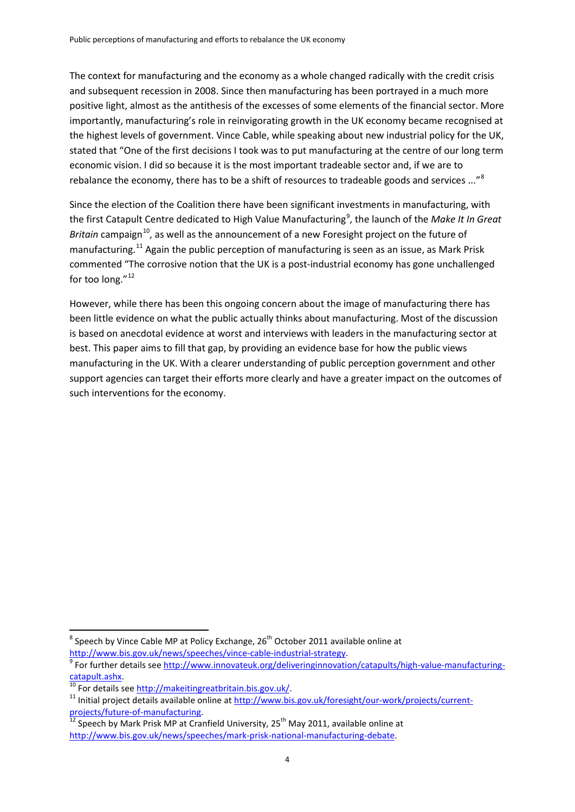The context for manufacturing and the economy as a whole changed radically with the credit crisis and subsequent recession in 2008. Since then manufacturing has been portrayed in a much more positive light, almost as the antithesis of the excesses of some elements of the financial sector. More importantly, manufacturing's role in reinvigorating growth in the UK economy became recognised at the highest levels of government. Vince Cable, while speaking about new industrial policy for the UK, stated that "One of the first decisions I took was to put manufacturing at the centre of our long term economic vision. I did so because it is the most important tradeable sector and, if we are to rebalance the economy, there has to be a shift of resources to tradeable goods and services ..."[8](#page-5-0)

Since the election of the Coalition there have been significant investments in manufacturing, with the first Catapult Centre dedicated to High Value Manufacturing<sup>[9](#page-5-1)</sup>, the launch of the *Make It In Great* Britain campaign<sup>[10](#page-5-2)</sup>, as well as the announcement of a new Foresight project on the future of manufacturing.<sup>[11](#page-5-3)</sup> Again the public perception of manufacturing is seen as an issue, as Mark Prisk commented "The corrosive notion that the UK is a post-industrial economy has gone unchallenged for too long." $12$ 

However, while there has been this ongoing concern about the image of manufacturing there has been little evidence on what the public actually thinks about manufacturing. Most of the discussion is based on anecdotal evidence at worst and interviews with leaders in the manufacturing sector at best. This paper aims to fill that gap, by providing an evidence base for how the public views manufacturing in the UK. With a clearer understanding of public perception government and other support agencies can target their efforts more clearly and have a greater impact on the outcomes of such interventions for the economy.

<span id="page-5-0"></span><sup>&</sup>lt;sup>8</sup> Speech by Vince Cable MP at Policy Exchange,  $26<sup>th</sup>$  October 2011 available online at http://www.bis.gov.uk/news/speeches/vince-cable-industrial-strategy.

 $\frac{9}{9}$  $\frac{9}{9}$  $\frac{9}{9}$  For further details se[e http://www.innovateuk.org/deliveringinnovation/catapults/high-value-manufacturing-](http://www.innovateuk.org/deliveringinnovation/catapults/high-value-manufacturing-catapult.ashx)

<span id="page-5-3"></span>

<span id="page-5-2"></span><span id="page-5-1"></span>[catapult.ashx.](http://www.innovateuk.org/deliveringinnovation/catapults/high-value-manufacturing-catapult.ashx)<br><sup>[10](http://www.innovateuk.org/deliveringinnovation/catapults/high-value-manufacturing-catapult.ashx)</sup> For details see <u>http://makeitingreatbritain.bis.gov.uk/</u>.<br><sup>11</sup> Initial project details available online at <u>http://www.bis.gov.uk/foresight/our-work/projects/current-<br>projects/future-of-manufacturing.</u>

<span id="page-5-4"></span><sup>&</sup>lt;sup>12</sup> Speech by Mark Prisk MP at Cranfield University, 25<sup>th</sup> May 2011, available online at [http://www.bis.gov.uk/news/speeches/mark-prisk-national-manufacturing-debate.](http://www.bis.gov.uk/news/speeches/mark-prisk-national-manufacturing-debate)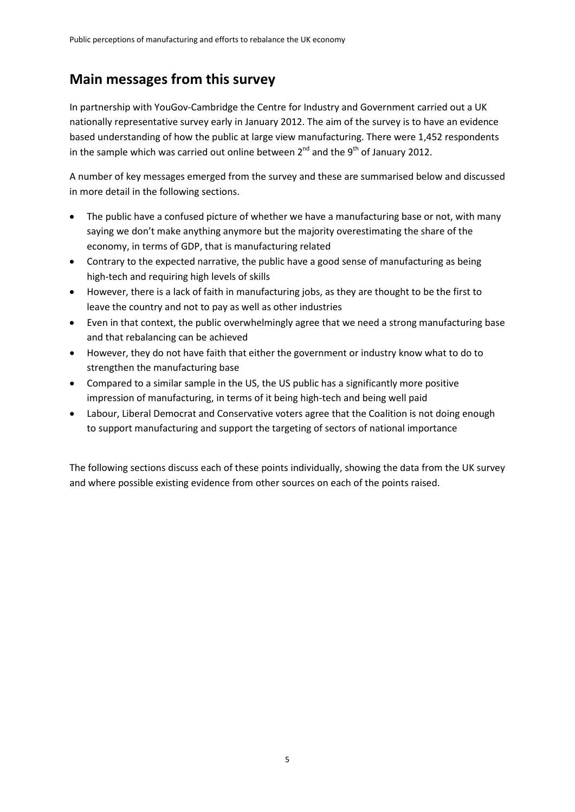# **Main messages from this survey**

In partnership with YouGov-Cambridge the Centre for Industry and Government carried out a UK nationally representative survey early in January 2012. The aim of the survey is to have an evidence based understanding of how the public at large view manufacturing. There were 1,452 respondents in the sample which was carried out online between  $2^{nd}$  and the  $9^{th}$  of January 2012.

A number of key messages emerged from the survey and these are summarised below and discussed in more detail in the following sections.

- The public have a confused picture of whether we have a manufacturing base or not, with many saying we don't make anything anymore but the majority overestimating the share of the economy, in terms of GDP, that is manufacturing related
- Contrary to the expected narrative, the public have a good sense of manufacturing as being high-tech and requiring high levels of skills
- However, there is a lack of faith in manufacturing jobs, as they are thought to be the first to leave the country and not to pay as well as other industries
- Even in that context, the public overwhelmingly agree that we need a strong manufacturing base and that rebalancing can be achieved
- However, they do not have faith that either the government or industry know what to do to strengthen the manufacturing base
- Compared to a similar sample in the US, the US public has a significantly more positive impression of manufacturing, in terms of it being high-tech and being well paid
- Labour, Liberal Democrat and Conservative voters agree that the Coalition is not doing enough to support manufacturing and support the targeting of sectors of national importance

The following sections discuss each of these points individually, showing the data from the UK survey and where possible existing evidence from other sources on each of the points raised.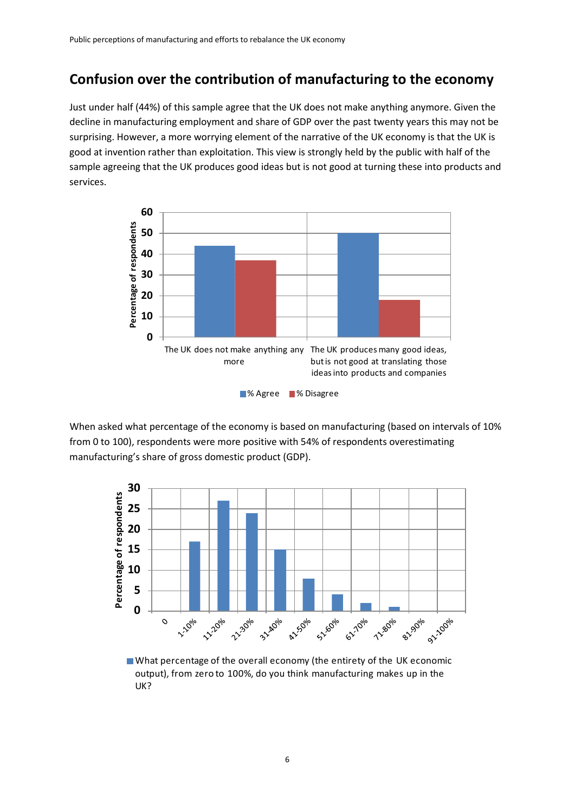## **Confusion over the contribution of manufacturing to the economy**

Just under half (44%) of this sample agree that the UK does not make anything anymore. Given the decline in manufacturing employment and share of GDP over the past twenty years this may not be surprising. However, a more worrying element of the narrative of the UK economy is that the UK is good at invention rather than exploitation. This view is strongly held by the public with half of the sample agreeing that the UK produces good ideas but is not good at turning these into products and services.





When asked what percentage of the economy is based on manufacturing (based on intervals of 10% from 0 to 100), respondents were more positive with 54% of respondents overestimating manufacturing's share of gross domestic product (GDP).



What percentage of the overall economy (the entirety of the UK economic output), from zero to 100%, do you think manufacturing makes up in the UK?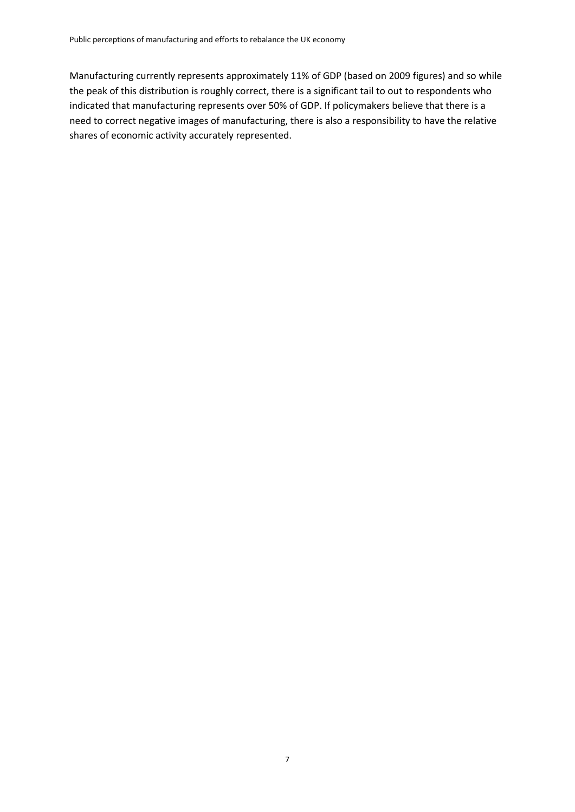Manufacturing currently represents approximately 11% of GDP (based on 2009 figures) and so while the peak of this distribution is roughly correct, there is a significant tail to out to respondents who indicated that manufacturing represents over 50% of GDP. If policymakers believe that there is a need to correct negative images of manufacturing, there is also a responsibility to have the relative shares of economic activity accurately represented.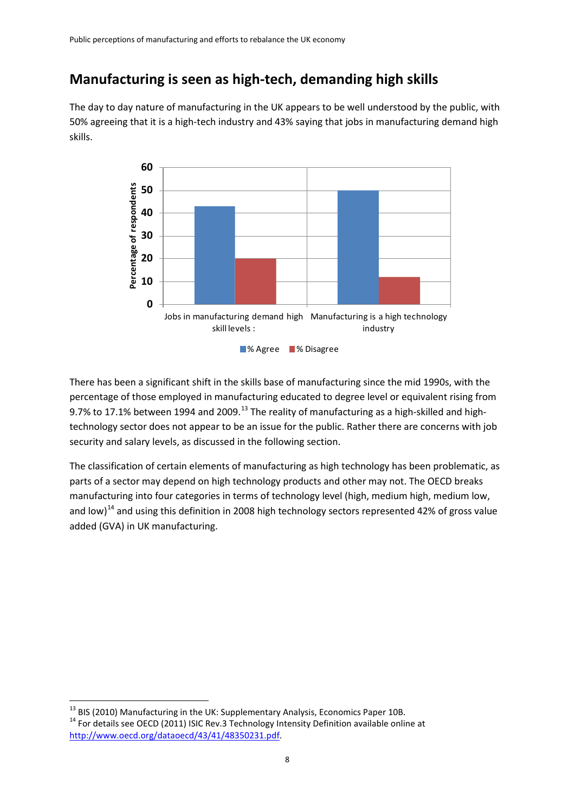# **Manufacturing is seen as high-tech, demanding high skills**

The day to day nature of manufacturing in the UK appears to be well understood by the public, with 50% agreeing that it is a high-tech industry and 43% saying that jobs in manufacturing demand high skills.



There has been a significant shift in the skills base of manufacturing since the mid 1990s, with the percentage of those employed in manufacturing educated to degree level or equivalent rising from 9.7% to 17.1% between 1994 and 2009. $^{13}$  $^{13}$  $^{13}$  The reality of manufacturing as a high-skilled and hightechnology sector does not appear to be an issue for the public. Rather there are concerns with job security and salary levels, as discussed in the following section.

The classification of certain elements of manufacturing as high technology has been problematic, as parts of a sector may depend on high technology products and other may not. The OECD breaks manufacturing into four categories in terms of technology level (high, medium high, medium low, and low)<sup>[14](#page-9-1)</sup> and using this definition in 2008 high technology sectors represented 42% of gross value added (GVA) in UK manufacturing.

<span id="page-9-1"></span><span id="page-9-0"></span><sup>&</sup>lt;sup>13</sup> BIS (2010) Manufacturing in the UK: Supplementary Analysis, Economics Paper 10B.<br><sup>14</sup> For details see OECD (2011) ISIC Rev.3 Technology Intensity Definition available online at [http://www.oecd.org/dataoecd/43/41/48350231.pdf.](http://www.oecd.org/dataoecd/43/41/48350231.pdf)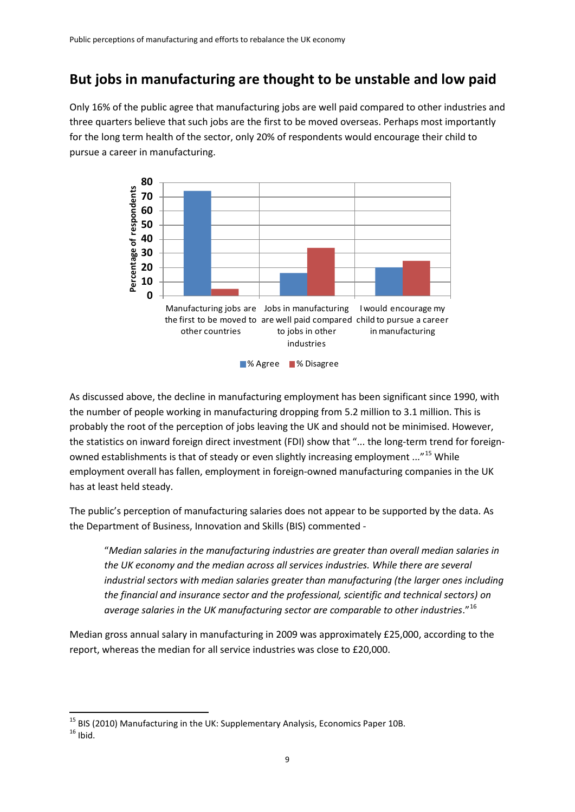## **But jobs in manufacturing are thought to be unstable and low paid**

Only 16% of the public agree that manufacturing jobs are well paid compared to other industries and three quarters believe that such jobs are the first to be moved overseas. Perhaps most importantly for the long term health of the sector, only 20% of respondents would encourage their child to pursue a career in manufacturing.



As discussed above, the decline in manufacturing employment has been significant since 1990, with the number of people working in manufacturing dropping from 5.2 million to 3.1 million. This is probably the root of the perception of jobs leaving the UK and should not be minimised. However, the statistics on inward foreign direct investment (FDI) show that "... the long-term trend for foreign-owned establishments is that of steady or even slightly increasing employment ..."<sup>[15](#page-10-0)</sup> While employment overall has fallen, employment in foreign-owned manufacturing companies in the UK has at least held steady.

The public's perception of manufacturing salaries does not appear to be supported by the data. As the Department of Business, Innovation and Skills (BIS) commented -

"*Median salaries in the manufacturing industries are greater than overall median salaries in the UK economy and the median across all services industries. While there are several industrial sectors with median salaries greater than manufacturing (the larger ones including the financial and insurance sector and the professional, scientific and technical sectors) on average salaries in the UK manufacturing sector are comparable to other industries*."[16](#page-10-1)

Median gross annual salary in manufacturing in 2009 was approximately £25,000, according to the report, whereas the median for all service industries was close to £20,000.

<span id="page-10-1"></span><span id="page-10-0"></span><sup>&</sup>lt;sup>15</sup> BIS (2010) Manufacturing in the UK: Supplementary Analysis, Economics Paper 10B.<br><sup>16</sup> Ibid.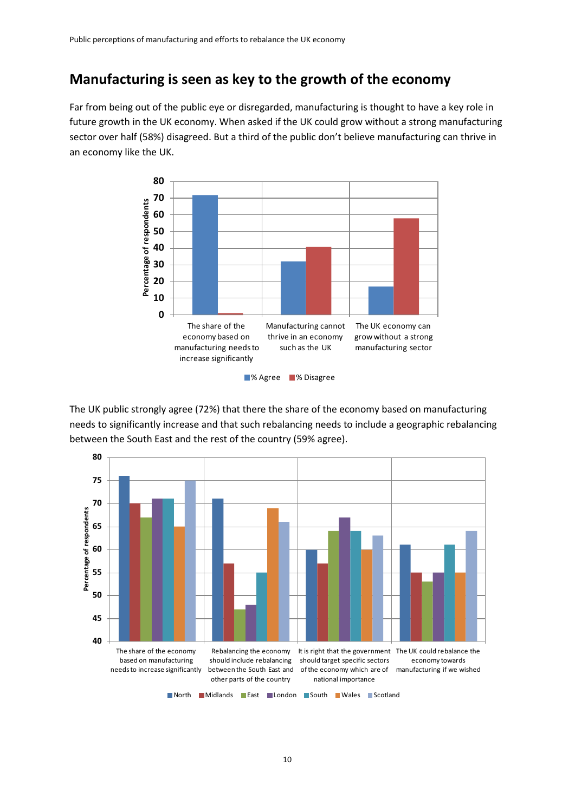### **Manufacturing is seen as key to the growth of the economy**

Far from being out of the public eye or disregarded, manufacturing is thought to have a key role in future growth in the UK economy. When asked if the UK could grow without a strong manufacturing sector over half (58%) disagreed. But a third of the public don't believe manufacturing can thrive in an economy like the UK.



The UK public strongly agree (72%) that there the share of the economy based on manufacturing needs to significantly increase and that such rebalancing needs to include a geographic rebalancing between the South East and the rest of the country (59% agree).

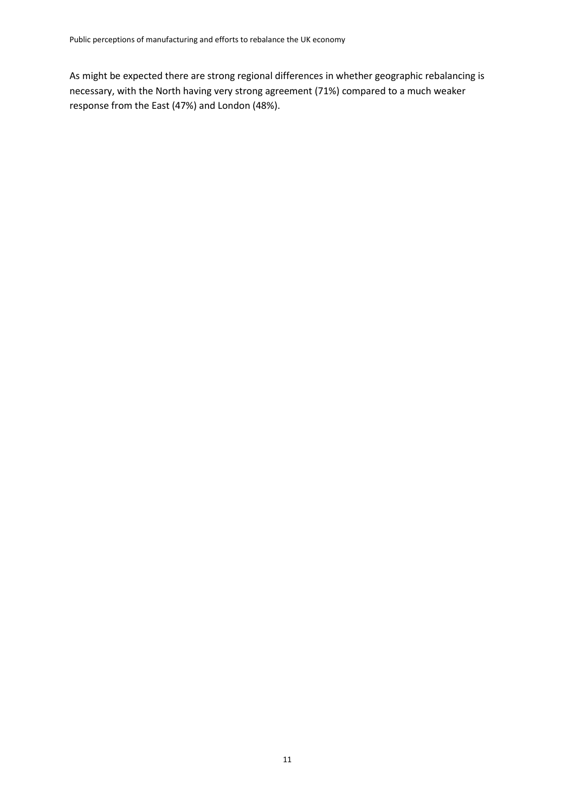As might be expected there are strong regional differences in whether geographic rebalancing is necessary, with the North having very strong agreement (71%) compared to a much weaker response from the East (47%) and London (48%).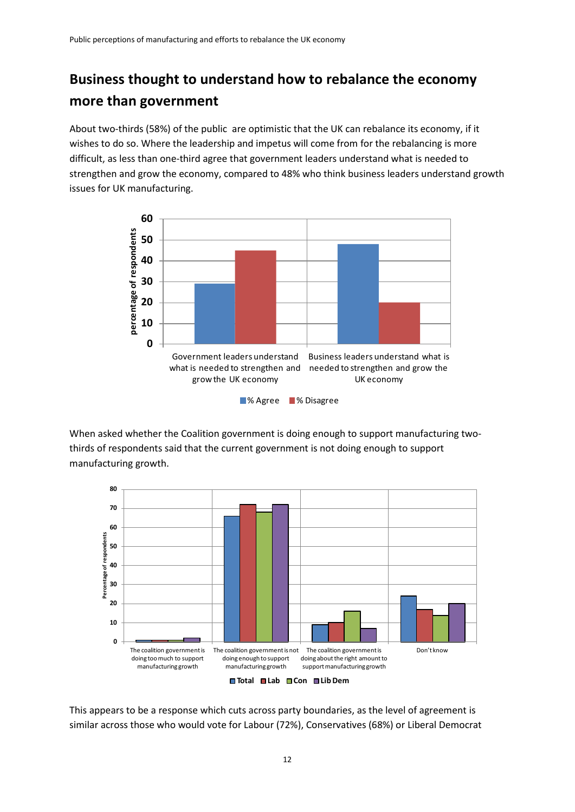# **Business thought to understand how to rebalance the economy more than government**

About two-thirds (58%) of the public are optimistic that the UK can rebalance its economy, if it wishes to do so. Where the leadership and impetus will come from for the rebalancing is more difficult, as less than one-third agree that government leaders understand what is needed to strengthen and grow the economy, compared to 48% who think business leaders understand growth issues for UK manufacturing.



When asked whether the Coalition government is doing enough to support manufacturing twothirds of respondents said that the current government is not doing enough to support manufacturing growth.



This appears to be a response which cuts across party boundaries, as the level of agreement is similar across those who would vote for Labour (72%), Conservatives (68%) or Liberal Democrat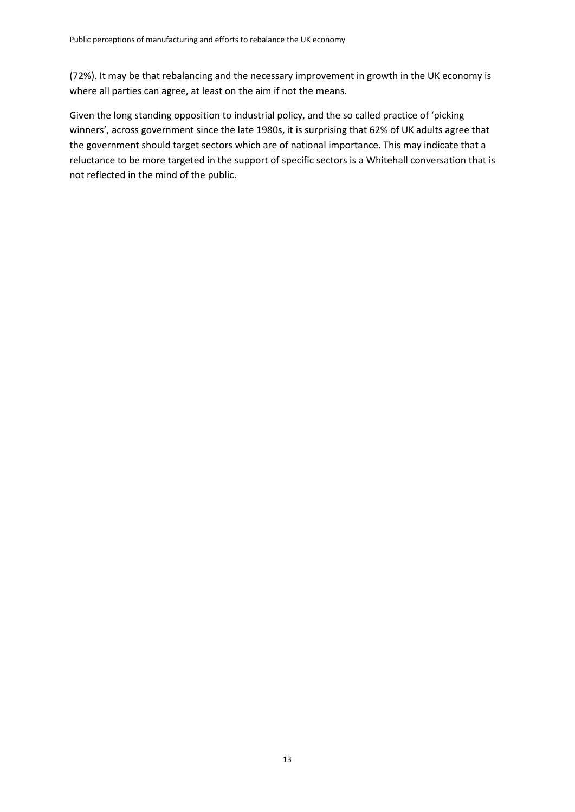(72%). It may be that rebalancing and the necessary improvement in growth in the UK economy is where all parties can agree, at least on the aim if not the means.

Given the long standing opposition to industrial policy, and the so called practice of 'picking winners', across government since the late 1980s, it is surprising that 62% of UK adults agree that the government should target sectors which are of national importance. This may indicate that a reluctance to be more targeted in the support of specific sectors is a Whitehall conversation that is not reflected in the mind of the public.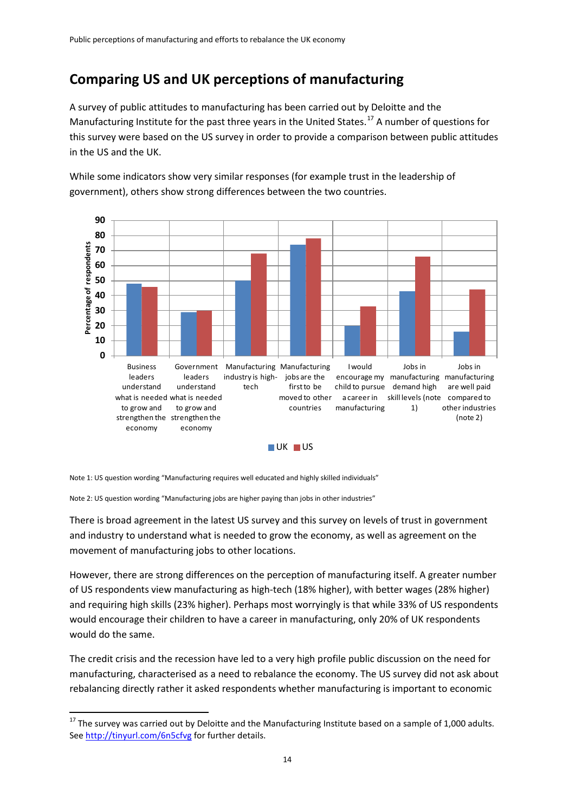# **Comparing US and UK perceptions of manufacturing**

A survey of public attitudes to manufacturing has been carried out by Deloitte and the Manufacturing Institute for the past three years in the United States.<sup>[17](#page-15-0)</sup> A number of questions for this survey were based on the US survey in order to provide a comparison between public attitudes in the US and the UK.

While some indicators show very similar responses (for example trust in the leadership of government), others show strong differences between the two countries.



Note 1: US question wording "Manufacturing requires well educated and highly skilled individuals"



There is broad agreement in the latest US survey and this survey on levels of trust in government and industry to understand what is needed to grow the economy, as well as agreement on the movement of manufacturing jobs to other locations.

However, there are strong differences on the perception of manufacturing itself. A greater number of US respondents view manufacturing as high-tech (18% higher), with better wages (28% higher) and requiring high skills (23% higher). Perhaps most worryingly is that while 33% of US respondents would encourage their children to have a career in manufacturing, only 20% of UK respondents would do the same.

The credit crisis and the recession have led to a very high profile public discussion on the need for manufacturing, characterised as a need to rebalance the economy. The US survey did not ask about rebalancing directly rather it asked respondents whether manufacturing is important to economic

<span id="page-15-0"></span><sup>&</sup>lt;sup>17</sup> The survey was carried out by Deloitte and the Manufacturing Institute based on a sample of 1,000 adults. See<http://tinyurl.com/6n5cfvg> for further details.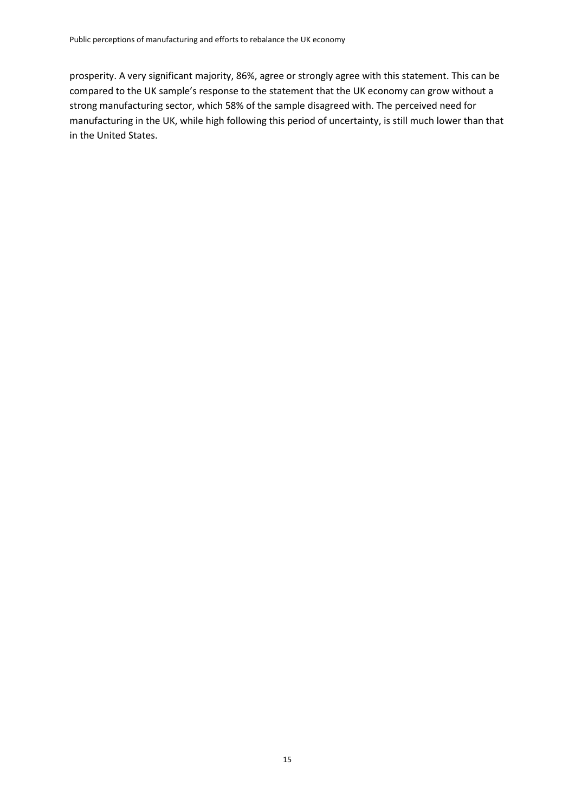prosperity. A very significant majority, 86%, agree or strongly agree with this statement. This can be compared to the UK sample's response to the statement that the UK economy can grow without a strong manufacturing sector, which 58% of the sample disagreed with. The perceived need for manufacturing in the UK, while high following this period of uncertainty, is still much lower than that in the United States.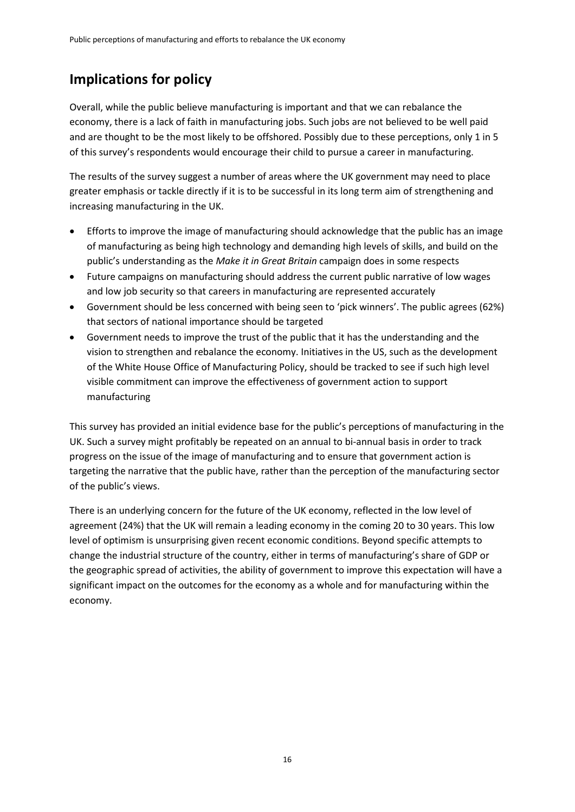# **Implications for policy**

Overall, while the public believe manufacturing is important and that we can rebalance the economy, there is a lack of faith in manufacturing jobs. Such jobs are not believed to be well paid and are thought to be the most likely to be offshored. Possibly due to these perceptions, only 1 in 5 of this survey's respondents would encourage their child to pursue a career in manufacturing.

The results of the survey suggest a number of areas where the UK government may need to place greater emphasis or tackle directly if it is to be successful in its long term aim of strengthening and increasing manufacturing in the UK.

- Efforts to improve the image of manufacturing should acknowledge that the public has an image of manufacturing as being high technology and demanding high levels of skills, and build on the public's understanding as the *Make it in Great Britain* campaign does in some respects
- Future campaigns on manufacturing should address the current public narrative of low wages and low job security so that careers in manufacturing are represented accurately
- Government should be less concerned with being seen to 'pick winners'. The public agrees (62%) that sectors of national importance should be targeted
- Government needs to improve the trust of the public that it has the understanding and the vision to strengthen and rebalance the economy. Initiatives in the US, such as the development of the White House Office of Manufacturing Policy, should be tracked to see if such high level visible commitment can improve the effectiveness of government action to support manufacturing

This survey has provided an initial evidence base for the public's perceptions of manufacturing in the UK. Such a survey might profitably be repeated on an annual to bi-annual basis in order to track progress on the issue of the image of manufacturing and to ensure that government action is targeting the narrative that the public have, rather than the perception of the manufacturing sector of the public's views.

There is an underlying concern for the future of the UK economy, reflected in the low level of agreement (24%) that the UK will remain a leading economy in the coming 20 to 30 years. This low level of optimism is unsurprising given recent economic conditions. Beyond specific attempts to change the industrial structure of the country, either in terms of manufacturing's share of GDP or the geographic spread of activities, the ability of government to improve this expectation will have a significant impact on the outcomes for the economy as a whole and for manufacturing within the economy.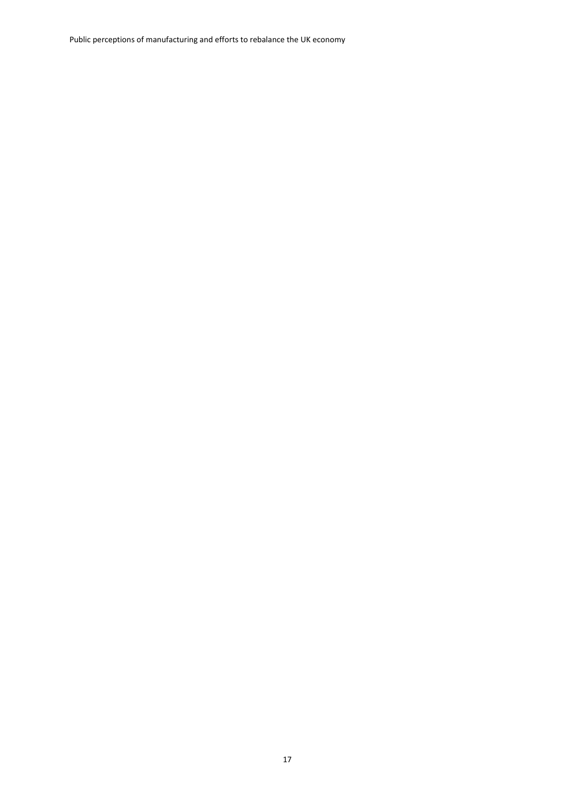Public perceptions of manufacturing and efforts to rebalance the UK economy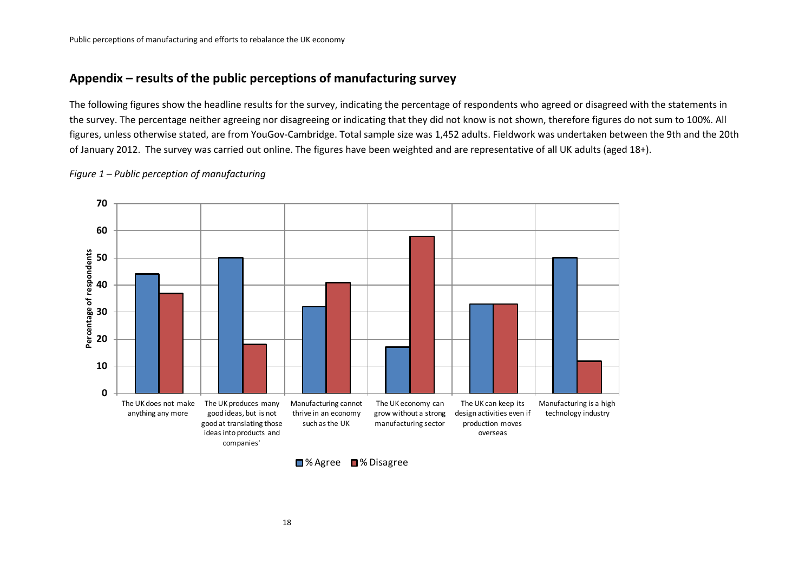### **Appendix – results of the public perceptions of manufacturing survey**

The following figures show the headline results for the survey, indicating the percentage of respondents who agreed or disagreed with the statements in the survey. The percentage neither agreeing nor disagreeing or indicating that they did not know is not shown, therefore figures do not sum to 100%. All figures, unless otherwise stated, are from YouGov-Cambridge. Total sample size was 1,452 adults. Fieldwork was undertaken between the 9th and the 20th of January 2012. The survey was carried out online. The figures have been weighted and are representative of all UK adults (aged 18+).

### *Figure 1 – Public perception of manufacturing*



■% Agree ■% Disagree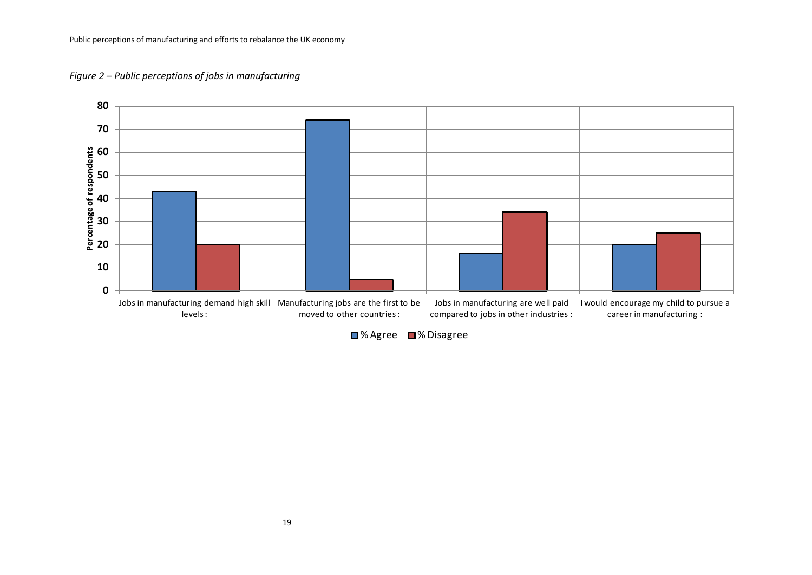



■% Agree ■% Disagree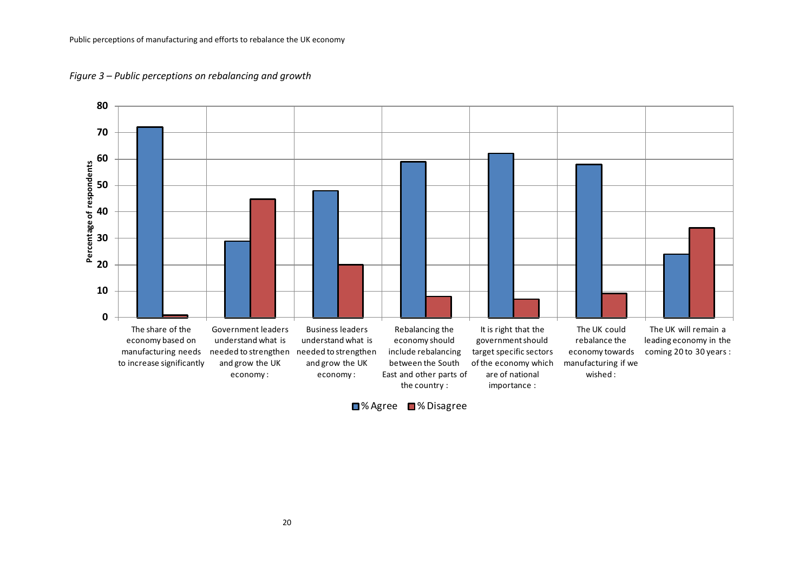*Figure 3 – Public perceptions on rebalancing and growth*



■% Agree ■% Disagree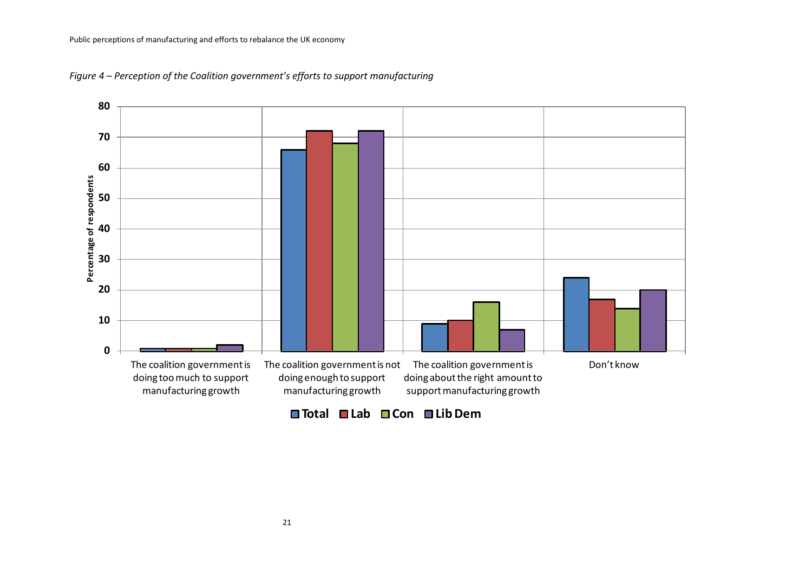

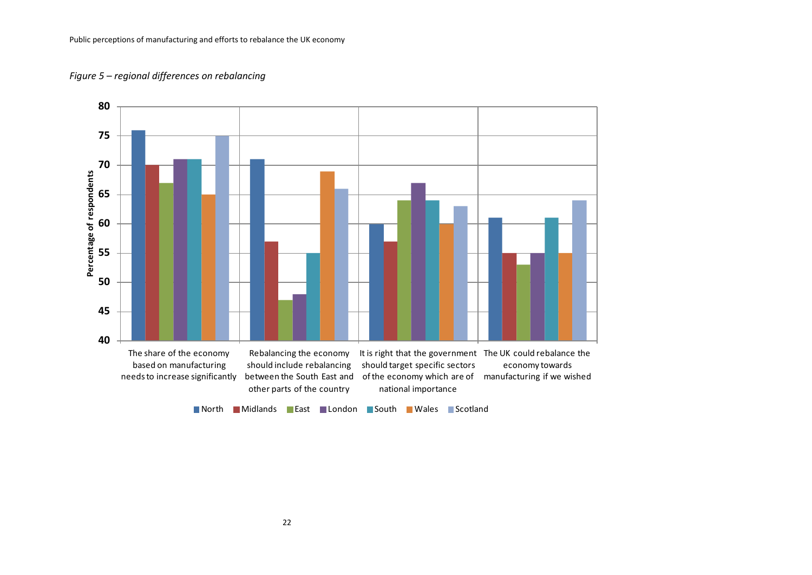



North Midlands East London South Wales Scotland